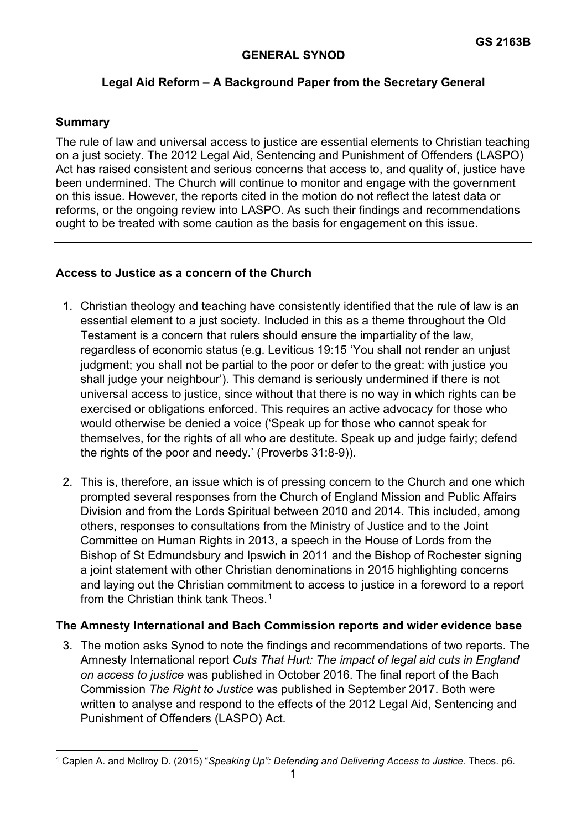## **GENERAL SYNOD**

# **Legal Aid Reform – A Background Paper from the Secretary General**

#### **Summary**

The rule of law and universal access to justice are essential elements to Christian teaching on a just society. The 2012 Legal Aid, Sentencing and Punishment of Offenders (LASPO) Act has raised consistent and serious concerns that access to, and quality of, justice have been undermined. The Church will continue to monitor and engage with the government on this issue. However, the reports cited in the motion do not reflect the latest data or reforms, or the ongoing review into LASPO. As such their findings and recommendations ought to be treated with some caution as the basis for engagement on this issue.

### **Access to Justice as a concern of the Church**

- 1. Christian theology and teaching have consistently identified that the rule of law is an essential element to a just society. Included in this as a theme throughout the Old Testament is a concern that rulers should ensure the impartiality of the law, regardless of economic status (e.g. Leviticus 19:15 'You shall not render an unjust judgment; you shall not be partial to the poor or defer to the great: with justice you shall judge your neighbour'). This demand is seriously undermined if there is not universal access to justice, since without that there is no way in which rights can be exercised or obligations enforced. This requires an active advocacy for those who would otherwise be denied a voice ('Speak up for those who cannot speak for themselves, for the rights of all who are destitute. Speak up and judge fairly; defend the rights of the poor and needy.' (Proverbs 31:8-9)).
- 2. This is, therefore, an issue which is of pressing concern to the Church and one which prompted several responses from the Church of England Mission and Public Affairs Division and from the Lords Spiritual between 2010 and 2014. This included, among others, responses to consultations from the Ministry of Justice and to the Joint Committee on Human Rights in 2013, a speech in the House of Lords from the Bishop of St Edmundsbury and Ipswich in 2011 and the Bishop of Rochester signing a joint statement with other Christian denominations in 2015 highlighting concerns and laying out the Christian commitment to access to justice in a foreword to a report from the Christian think tank Theos  $1$

#### **The Amnesty International and Bach Commission reports and wider evidence base**

3. The motion asks Synod to note the findings and recommendations of two reports. The Amnesty International report *Cuts That Hurt: The impact of legal aid cuts in England on access to justice* was published in October 2016. The final report of the Bach Commission *The Right to Justice* was published in September 2017. Both were written to analyse and respond to the effects of the 2012 Legal Aid, Sentencing and Punishment of Offenders (LASPO) Act.

<span id="page-0-0"></span><sup>1</sup> Caplen A. and Mcllroy D. (2015) "*Speaking Up": Defending and Delivering Access to Justice.* Theos. p6.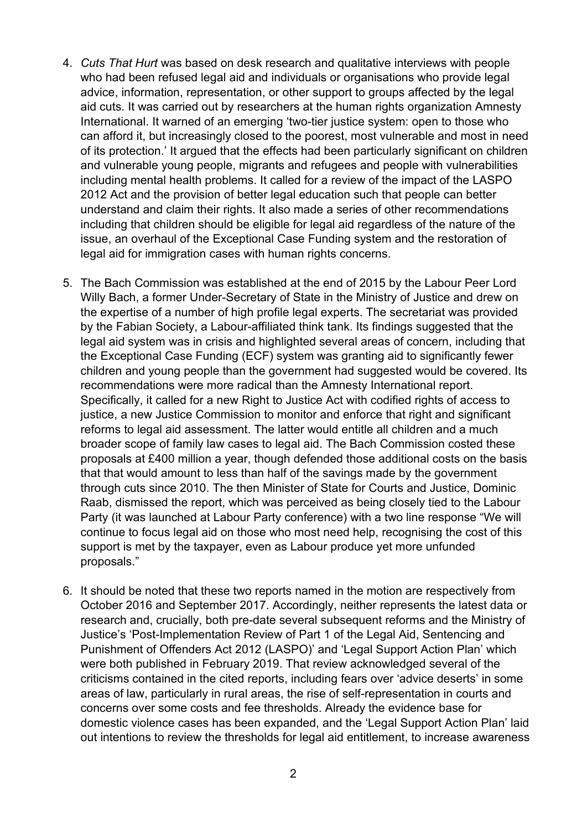- 4. *Cuts That Hurt* was based on desk research and qualitative interviews with people who had been refused legal aid and individuals or organisations who provide legal advice, information, representation, or other support to groups affected by the legal aid cuts. It was carried out by researchers at the human rights organization Amnesty International. It warned of an emerging 'two-tier justice system: open to those who can afford it, but increasingly closed to the poorest, most vulnerable and most in need of its protection.' It argued that the effects had been particularly significant on children and vulnerable young people, migrants and refugees and people with vulnerabilities including mental health problems. It called for a review of the impact of the LASPO 2012 Act and the provision of better legal education such that people can better understand and claim their rights. It also made a series of other recommendations including that children should be eligible for legal aid regardless of the nature of the issue, an overhaul of the Exceptional Case Funding system and the restoration of legal aid for immigration cases with human rights concerns.
- 5. The Bach Commission was established at the end of 2015 by the Labour Peer Lord Willy Bach, a former Under-Secretary of State in the Ministry of Justice and drew on the expertise of a number of high profile legal experts. The secretariat was provided by the Fabian Society, a Labour-affiliated think tank. Its findings suggested that the legal aid system was in crisis and highlighted several areas of concern, including that the Exceptional Case Funding (ECF) system was granting aid to significantly fewer children and young people than the government had suggested would be covered. Its recommendations were more radical than the Amnesty International report. Specifically, it called for a new Right to Justice Act with codified rights of access to justice, a new Justice Commission to monitor and enforce that right and significant reforms to legal aid assessment. The latter would entitle all children and a much broader scope of family law cases to legal aid. The Bach Commission costed these proposals at £400 million a year, though defended those additional costs on the basis that that would amount to less than half of the savings made by the government through cuts since 2010. The then Minister of State for Courts and Justice, Dominic Raab, dismissed the report, which was perceived as being closely tied to the Labour Party (it was launched at Labour Party conference) with a two line response "We will continue to focus legal aid on those who most need help, recognising the cost of this support is met by the taxpayer, even as Labour produce yet more unfunded proposals."
- 6. It should be noted that these two reports named in the motion are respectively from October 2016 and September 2017. Accordingly, neither represents the latest data or research and, crucially, both pre-date several subsequent reforms and the Ministry of Justice's 'Post-Implementation Review of Part 1 of the Legal Aid, Sentencing and Punishment of Offenders Act 2012 (LASPO)' and 'Legal Support Action Plan' which were both published in February 2019. That review acknowledged several of the criticisms contained in the cited reports, including fears over 'advice deserts' in some areas of law, particularly in rural areas, the rise of self-representation in courts and concerns over some costs and fee thresholds. Already the evidence base for domestic violence cases has been expanded, and the 'Legal Support Action Plan' laid out intentions to review the thresholds for legal aid entitlement, to increase awareness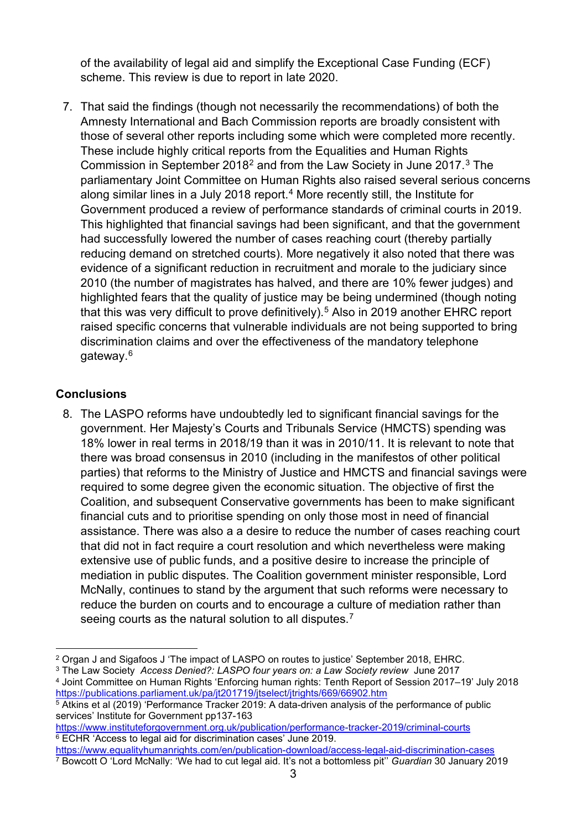of the availability of legal aid and simplify the Exceptional Case Funding (ECF) scheme. This review is due to report in late 2020.

7. That said the findings (though not necessarily the recommendations) of both the Amnesty International and Bach Commission reports are broadly consistent with those of several other reports including some which were completed more recently. These include highly critical reports from the Equalities and Human Rights Commission in September 2018[2](#page-2-0) and from the Law Society in June 2017.[3](#page-2-1) The parliamentary Joint Committee on Human Rights also raised several serious concerns along similar lines in a July 2018 report.<sup>[4](#page-2-2)</sup> More recently still, the Institute for Government produced a review of performance standards of criminal courts in 2019. This highlighted that financial savings had been significant, and that the government had successfully lowered the number of cases reaching court (thereby partially reducing demand on stretched courts). More negatively it also noted that there was evidence of a significant reduction in recruitment and morale to the judiciary since 2010 (the number of magistrates has halved, and there are 10% fewer judges) and highlighted fears that the quality of justice may be being undermined (though noting that this was very difficult to prove definitively).<sup>[5](#page-2-3)</sup> Also in 2019 another EHRC report raised specific concerns that vulnerable individuals are not being supported to bring discrimination claims and over the effectiveness of the mandatory telephone gateway.[6](#page-2-4)

# **Conclusions**

8. The LASPO reforms have undoubtedly led to significant financial savings for the government. Her Majesty's Courts and Tribunals Service (HMCTS) spending was 18% lower in real terms in 2018/19 than it was in 2010/11. It is relevant to note that there was broad consensus in 2010 (including in the manifestos of other political parties) that reforms to the Ministry of Justice and HMCTS and financial savings were required to some degree given the economic situation. The objective of first the Coalition, and subsequent Conservative governments has been to make significant financial cuts and to prioritise spending on only those most in need of financial assistance. There was also a a desire to reduce the number of cases reaching court that did not in fact require a court resolution and which nevertheless were making extensive use of public funds, and a positive desire to increase the principle of mediation in public disputes. The Coalition government minister responsible, Lord McNally, continues to stand by the argument that such reforms were necessary to reduce the burden on courts and to encourage a culture of mediation rather than seeing courts as the natural solution to all disputes.<sup>[7](#page-2-5)</sup>

<span id="page-2-2"></span><sup>4</sup> Joint Committee on Human Rights 'Enforcing human rights: Tenth Report of Session 2017–19' July 2018 <https://publications.parliament.uk/pa/jt201719/jtselect/jtrights/669/66902.htm>

<span id="page-2-4"></span><https://www.instituteforgovernment.org.uk/publication/performance-tracker-2019/criminal-courts> <sup>6</sup> ECHR 'Access to legal aid for discrimination cases' June 2019.

<span id="page-2-0"></span><sup>2</sup> Organ J and Sigafoos J 'The impact of LASPO on routes to justice' September 2018, EHRC.

<span id="page-2-1"></span><sup>3</sup> The Law Society *Access Denied?: LASPO four years on: a Law Society review* June 2017

<span id="page-2-3"></span><sup>&</sup>lt;sup>5</sup> Atkins et al (2019) 'Performance Tracker 2019: A data-driven analysis of the performance of public services' Institute for Government pp137-163

<span id="page-2-5"></span><https://www.equalityhumanrights.com/en/publication-download/access-legal-aid-discrimination-cases> <sup>7</sup> Bowcott O 'Lord McNally: 'We had to cut legal aid. It's not a bottomless pit'' *Guardian* 30 January 2019